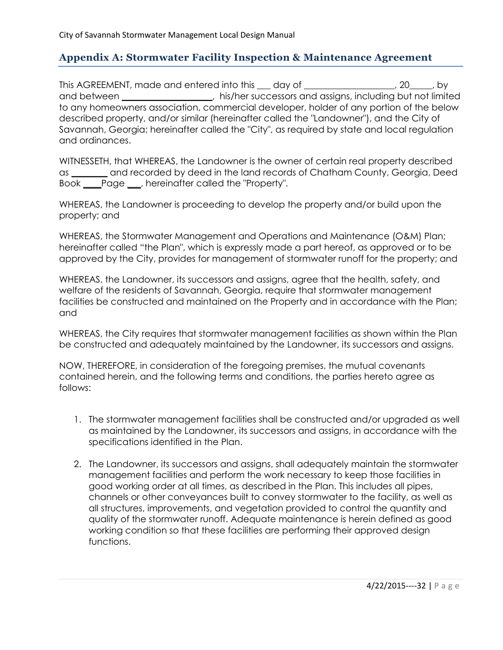# **Appendix A: Stormwater Facility Inspection & Maintenance Agreement**

This AGREEMENT, made and entered into this 100 day of 100 morrors and 20 morrors by and between **and strutter of the successors** and assigns, including but not limited to any homeowners association, commercial developer, holder of any portion of the below described property, and/or similar (hereinafter called the "Landowner"), and the City of Savannah, Georgia; hereinafter called the "City", as required by state and local regulation and ordinances.

WITNESSETH, that WHEREAS, the Landowner is the owner of certain real property described as **\_\_\_\_\_\_\_\_** and recorded by deed in the land records of Chatham County, Georgia, Deed Book **\_\_\_\_**Page **\_\_\_**, hereinafter called the "Property".

WHEREAS, the Landowner is proceeding to develop the property and/or build upon the property; and

WHEREAS, the Stormwater Management and Operations and Maintenance (O&M) Plan; hereinafter called "the Plan", which is expressly made a part hereof, as approved or to be approved by the City, provides for management of stormwater runoff for the property; and

WHEREAS, the Landowner, its successors and assigns, agree that the health, safety, and welfare of the residents of Savannah, Georgia, require that stormwater management facilities be constructed and maintained on the Property and in accordance with the Plan; and

WHEREAS, the City requires that stormwater management facilities as shown within the Plan be constructed and adequately maintained by the Landowner, its successors and assigns.

NOW, THEREFORE, in consideration of the foregoing premises, the mutual covenants contained herein, and the following terms and conditions, the parties hereto agree as follows:

- 1. The stormwater management facilities shall be constructed and/or upgraded as well as maintained by the Landowner, its successors and assigns, in accordance with the specifications identified in the Plan.
- 2. The Landowner, its successors and assigns, shall adequately maintain the stormwater management facilities and perform the work necessary to keep those facilities in good working order at all times, as described in the Plan. This includes all pipes, channels or other conveyances built to convey stormwater to the facility, as well as all structures, improvements, and vegetation provided to control the quantity and quality of the stormwater runoff. Adequate maintenance is herein defined as good working condition so that these facilities are performing their approved design functions.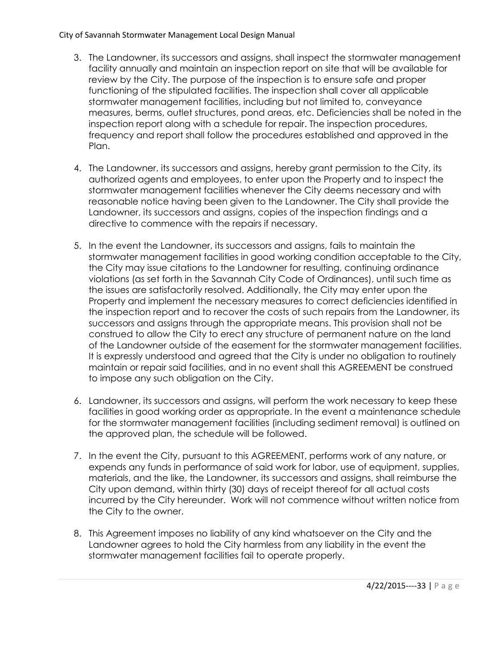- 3. The Landowner, its successors and assigns, shall inspect the stormwater management facility annually and maintain an inspection report on site that will be available for review by the City. The purpose of the inspection is to ensure safe and proper functioning of the stipulated facilities. The inspection shall cover all applicable stormwater management facilities, including but not limited to, conveyance measures, berms, outlet structures, pond areas, etc. Deficiencies shall be noted in the inspection report along with a schedule for repair. The inspection procedures, frequency and report shall follow the procedures established and approved in the Plan.
- 4. The Landowner, its successors and assigns, hereby grant permission to the City, its authorized agents and employees, to enter upon the Property and to inspect the stormwater management facilities whenever the City deems necessary and with reasonable notice having been given to the Landowner. The City shall provide the Landowner, its successors and assigns, copies of the inspection findings and a directive to commence with the repairs if necessary.
- 5. In the event the Landowner, its successors and assigns, fails to maintain the stormwater management facilities in good working condition acceptable to the City, the City may issue citations to the Landowner for resulting, continuing ordinance violations (as set forth in the Savannah City Code of Ordinances), until such time as the issues are satisfactorily resolved. Additionally, the City may enter upon the Property and implement the necessary measures to correct deficiencies identified in the inspection report and to recover the costs of such repairs from the Landowner, its successors and assigns through the appropriate means. This provision shall not be construed to allow the City to erect any structure of permanent nature on the land of the Landowner outside of the easement for the stormwater management facilities. It is expressly understood and agreed that the City is under no obligation to routinely maintain or repair said facilities, and in no event shall this AGREEMENT be construed to impose any such obligation on the City.
- 6. Landowner, its successors and assigns, will perform the work necessary to keep these facilities in good working order as appropriate. In the event a maintenance schedule for the stormwater management facilities (including sediment removal) is outlined on the approved plan, the schedule will be followed.
- 7. In the event the City, pursuant to this AGREEMENT, performs work of any nature, or expends any funds in performance of said work for labor, use of equipment, supplies, materials, and the like, the Landowner, its successors and assigns, shall reimburse the City upon demand, within thirty (30) days of receipt thereof for all actual costs incurred by the City hereunder. Work will not commence without written notice from the City to the owner.
- 8. This Agreement imposes no liability of any kind whatsoever on the City and the Landowner agrees to hold the City harmless from any liability in the event the stormwater management facilities fail to operate properly.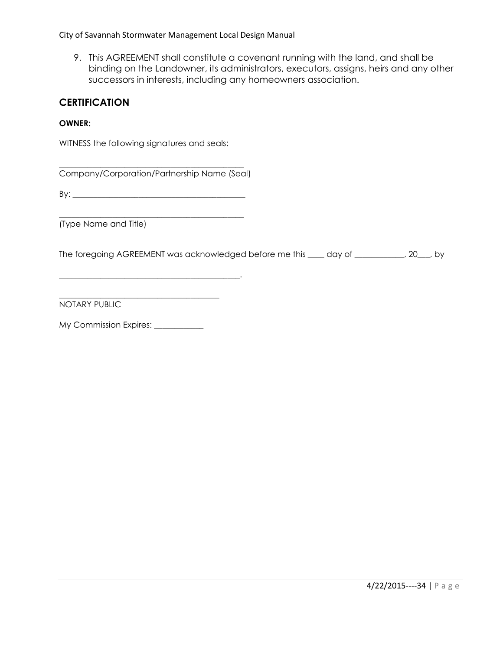9. This AGREEMENT shall constitute a covenant running with the land, and shall be binding on the Landowner, its administrators, executors, assigns, heirs and any other successors in interests, including any homeowners association.

### **CERTIFICATION**

#### **OWNER:**

WITNESS the following signatures and seals:

\_\_\_\_\_\_\_\_\_\_\_\_\_\_\_\_\_\_\_\_\_\_\_\_\_\_\_\_\_\_\_\_\_\_\_\_\_\_\_\_\_\_\_\_\_ Company/Corporation/Partnership Name (Seal)

By: \_\_\_\_\_\_\_\_\_\_\_\_\_\_\_\_\_\_\_\_\_\_\_\_\_\_\_\_\_\_\_\_\_\_\_\_\_\_\_\_\_\_

\_\_\_\_\_\_\_\_\_\_\_\_\_\_\_\_\_\_\_\_\_\_\_\_\_\_\_\_\_\_\_\_\_\_\_\_\_\_\_\_\_\_\_\_.

\_\_\_\_\_\_\_\_\_\_\_\_\_\_\_\_\_\_\_\_\_\_\_\_\_\_\_\_\_\_\_\_\_\_\_\_\_\_\_\_\_\_\_\_\_ (Type Name and Title)

The foregoing AGREEMENT was acknowledged before me this  $\_\_\_$  day of  $\_\_\_\_\_\_\_$ , 20, by

 $\overline{\phantom{a}}$  , and the set of the set of the set of the set of the set of the set of the set of the set of the set of the set of the set of the set of the set of the set of the set of the set of the set of the set of the s NOTARY PUBLIC

My Commission Expires: \_\_\_\_\_\_\_\_\_\_\_\_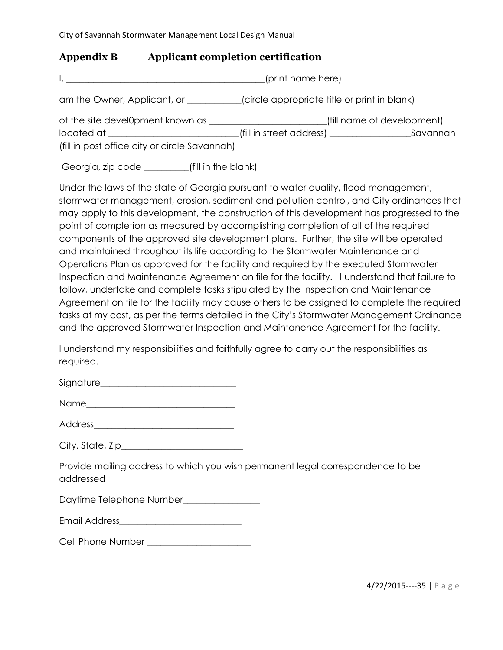### **Appendix B Applicant completion certification**

I, \_\_\_\_\_\_\_\_\_\_\_\_\_\_\_\_\_\_\_\_\_\_\_\_\_\_\_\_\_\_\_\_\_\_\_\_\_\_\_\_\_\_\_\_(print name here)

am the Owner, Applicant, or  $\qquad \qquad$  (circle appropriate title or print in blank)

| of the site devel0pment known as              |                          | (fill name of development) |
|-----------------------------------------------|--------------------------|----------------------------|
| located at                                    | (fill in street address) | Savannah                   |
| (fill in post office city or circle Savannah) |                          |                            |

Georgia, zip code \_\_\_\_\_\_\_\_\_(fill in the blank)

Under the laws of the state of Georgia pursuant to water quality, flood management, stormwater management, erosion, sediment and pollution control, and City ordinances that may apply to this development, the construction of this development has progressed to the point of completion as measured by accomplishing completion of all of the required components of the approved site development plans. Further, the site will be operated and maintained throughout its life according to the Stormwater Maintenance and Operations Plan as approved for the facility and required by the executed Stormwater Inspection and Maintenance Agreement on file for the facility. I understand that failure to follow, undertake and complete tasks stipulated by the Inspection and Maintenance Agreement on file for the facility may cause others to be assigned to complete the required tasks at my cost, as per the terms detailed in the City's Stormwater Management Ordinance and the approved Stormwater Inspection and Maintanence Agreement for the facility.

I understand my responsibilities and faithfully agree to carry out the responsibilities as required.

| Signature |
|-----------|
|-----------|

| Name |  |  |  |
|------|--|--|--|
|      |  |  |  |

Address\_\_\_\_\_\_\_\_\_\_\_\_\_\_\_\_\_\_\_\_\_\_\_\_\_\_\_\_\_\_\_

| City, State, Zip_ |  |
|-------------------|--|
|-------------------|--|

Provide mailing address to which you wish permanent legal correspondence to be addressed

Daytime Telephone Number\_\_\_\_\_\_\_\_\_\_\_\_\_\_\_\_\_

| <b>Email Address</b> |
|----------------------|
|----------------------|

Cell Phone Number \_\_\_\_\_\_\_\_\_\_\_\_\_\_\_\_\_\_\_\_\_\_\_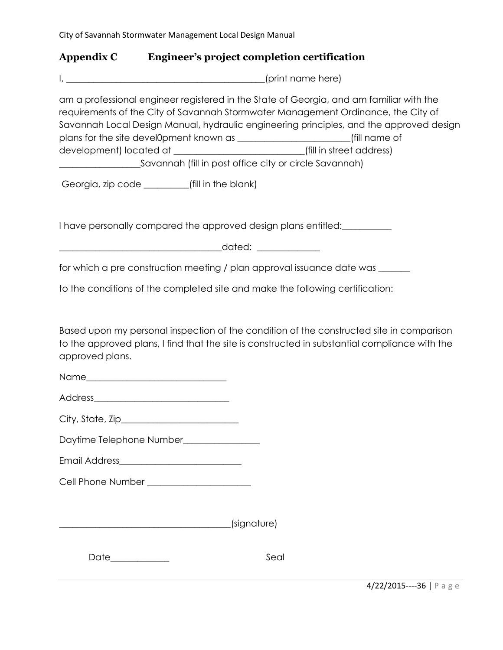### **Appendix C Engineer's project completion certification**

I, \_\_\_\_\_\_\_\_\_\_\_\_\_\_\_\_\_\_\_\_\_\_\_\_\_\_\_\_\_\_\_\_\_\_\_\_\_\_\_\_\_\_\_\_(print name here)

am a professional engineer registered in the State of Georgia, and am familiar with the requirements of the City of Savannah Stormwater Management Ordinance, the City of Savannah Local Design Manual, hydraulic engineering principles, and the approved design plans for the site devel0pment known as \_\_\_\_\_\_\_\_\_\_\_\_\_\_\_\_\_\_\_\_\_\_\_\_\_(fill name of development) located at \_\_\_\_\_\_\_\_\_\_\_\_\_\_\_\_\_\_\_\_\_\_\_\_\_\_\_\_\_(fill in street address) \_\_\_\_\_\_\_\_\_\_\_\_\_\_\_\_\_\_Savannah (fill in post office city or circle Savannah)

Georgia, zip code \_\_\_\_\_\_\_\_\_\_(fill in the blank)

I have personally compared the approved design plans entitled:

\_\_\_\_\_\_\_\_\_\_\_\_\_\_\_\_\_\_\_\_\_\_\_\_\_\_\_\_\_\_\_\_\_\_\_\_dated: \_\_\_\_\_\_\_\_\_\_\_\_\_\_

for which a pre construction meeting / plan approval issuance date was \_\_\_\_\_\_\_

to the conditions of the completed site and make the following certification:

Based upon my personal inspection of the condition of the constructed site in comparison to the approved plans, I find that the site is constructed in substantial compliance with the approved plans.

Name was a set of the set of the set of the set of the set of the set of the set of the set of the set of the set of the set of the set of the set of the set of the set of the set of the set of the set of the set of the se

Address

City, State, Zip\_\_\_\_\_\_\_\_\_\_\_\_\_\_\_\_\_\_\_\_\_\_\_\_\_\_

Daytime Telephone Number\_\_\_\_\_\_\_\_\_\_\_\_\_\_\_\_

Email Address\_\_\_\_\_\_\_\_\_\_\_\_\_\_\_\_\_\_\_\_\_\_\_\_\_\_\_

Cell Phone Number \_\_\_\_\_\_\_\_\_\_\_\_\_\_\_\_\_\_\_\_\_\_\_

\_\_\_\_\_\_\_\_\_\_\_\_\_\_\_\_\_\_\_\_\_\_\_\_\_\_\_\_\_\_\_\_\_\_\_\_\_\_(signature)

Date\_\_\_\_\_\_\_\_\_\_\_\_\_ Seal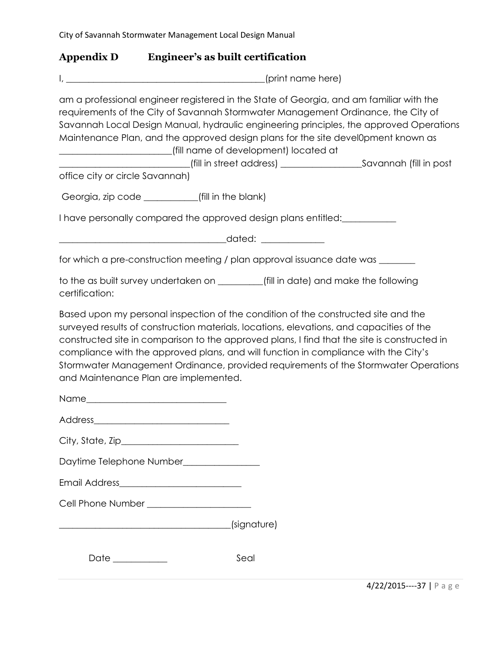### **Appendix D Engineer's as built certification**

| Inrint name here) |  |
|-------------------|--|
|                   |  |

am a professional engineer registered in the State of Georgia, and am familiar with the requirements of the City of Savannah Stormwater Management Ordinance, the City of Savannah Local Design Manual, hydraulic engineering principles, the approved Operations Maintenance Plan, and the approved design plans for the site devel0pment known as \_\_\_\_\_\_\_\_\_\_\_\_\_\_\_\_\_\_\_\_\_\_\_\_\_(fill name of development) located at \_\_\_\_\_\_\_\_\_\_\_\_\_\_\_\_\_\_\_\_\_\_\_\_\_\_\_\_\_(fill in street address) \_\_\_\_\_\_\_\_\_\_\_\_\_\_\_\_\_\_Savannah (fill in post

office city or circle Savannah)

Georgia, zip code \_\_\_\_\_\_\_\_\_\_\_(fill in the blank)

I have personally compared the approved design plans entitled:

\_\_\_\_\_\_\_\_\_\_\_\_\_\_\_\_\_\_\_\_\_\_\_\_\_\_\_\_\_\_\_\_\_\_\_\_\_dated: \_\_\_\_\_\_\_\_\_\_\_\_\_\_

for which a pre-construction meeting / plan approval issuance date was \_\_\_\_\_\_\_\_

to the as built survey undertaken on \_\_\_\_\_\_\_\_\_\_(fill in date) and make the following certification:

Based upon my personal inspection of the condition of the constructed site and the surveyed results of construction materials, locations, elevations, and capacities of the constructed site in comparison to the approved plans, I find that the site is constructed in compliance with the approved plans, and will function in compliance with the City's Stormwater Management Ordinance, provided requirements of the Stormwater Operations and Maintenance Plan are implemented.

| City, State, Zip_ |  |
|-------------------|--|
|                   |  |

Daytime Telephone Number\_\_\_\_\_\_\_\_\_\_\_\_\_\_\_\_\_

| <b>Email Address</b> |  |  |
|----------------------|--|--|
|                      |  |  |

Cell Phone Number \_\_\_\_\_\_\_\_\_\_\_\_\_\_\_\_\_\_\_\_\_\_\_

| (signature) |
|-------------|
|-------------|

Date \_\_\_\_\_\_\_\_\_\_\_\_ Seal